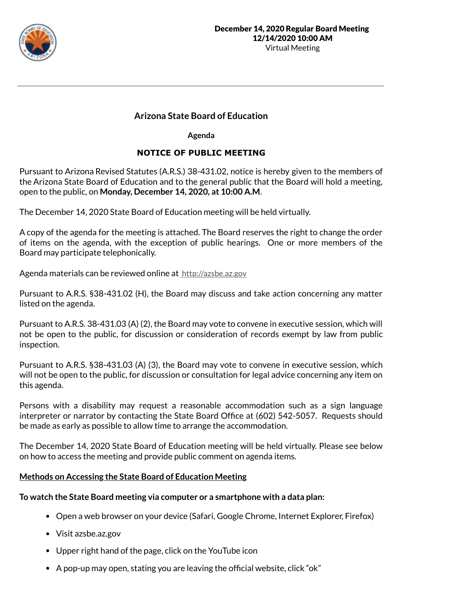

# **Arizona State Board of Education**

**Agenda**

# **NOTICE OF PUBLIC MEETING**

Pursuant to Arizona Revised Statutes (A.R.S.) 38-431.02, notice is hereby given to the members of the Arizona State Board of Education and to the general public that the Board will hold a meeting, open to the public, on **Monday, December 14, 2020, at 10:00 A.M**.

The December 14, 2020 State Board of Education meeting will be held virtually.

A copy of the agenda for the meeting is attached. The Board reserves the right to change the order of items on the agenda, with the exception of public hearings. One or more members of the Board may participate telephonically.

Agenda materials can be reviewed online at http://azsbe.az.gov

Pursuant to A.R.S. §38-431.02 (H), the Board may discuss and take action concerning any matter listed on the agenda.

Pursuant to A.R.S. 38-431.03 (A) (2), the Board may vote to convene in executive session, which will not be open to the public, for discussion or consideration of records exempt by law from public inspection.

Pursuant to A.R.S. §38-431.03 (A) (3), the Board may vote to convene in executive session, which will not be open to the public, for discussion or consultation for legal advice concerning any item on this agenda.

Persons with a disability may request a reasonable accommodation such as a sign language interpreter or narrator by contacting the State Board Office at (602) 542-5057. Requests should be made as early as possible to allow time to arrange the accommodation.

The December 14, 2020 State Board of Education meeting will be held virtually. Please see below on how to access the meeting and provide public comment on agenda items.

## **Methods on Accessing the State Board of Education Meeting**

## **To watch the State Board meeting via computer or a smartphone with a data plan:**

- Open a web browser on your device (Safari, Google Chrome, Internet Explorer, Firefox)
- Visit azsbe.az.gov
- Upper right hand of the page, click on the YouTube icon
- A pop-up may open, stating you are leaving the official website, click "ok"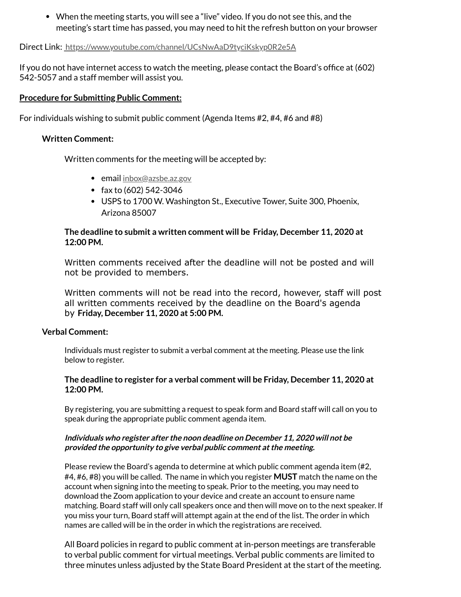When the meeting starts, you will see a "live" video. If you do not see this, and the meeting's start time has passed, you may need to hit the refresh button on your browser

Direct Link: https://www.youtube.com/channel/UCsNwAaD9tyciKskyp0R2e5A

If you do not have internet access to watch the meeting, please contact the Board's office at (602) 542-5057 and a staff member will assist you.

### **Procedure for Submitting Public Comment:**

For individuals wishing to submit public comment (Agenda Items #2, #4, #6 and #8)

#### **Written Comment:**

Written comments for the meeting will be accepted by:

- email inbox@azsbe.az.gov
- fax to  $(602)$  542-3046
- USPS to 1700 W. Washington St., Executive Tower, Suite 300, Phoenix, Arizona 85007

### **The deadline to submit a written comment will be Friday, December 11, 2020 at 12:00 PM.**

Written comments received after the deadline will not be posted and will not be provided to members.

Written comments will not be read into the record, however, staff will post all written comments received by the deadline on the Board's agenda by **Friday, December 11, 2020 at 5:00 PM.**

#### **Verbal Comment:**

Individuals must register to submit a verbal comment at the meeting. Please use the link below to register.

### **The deadline to register for a verbal comment will be Friday, December 11, 2020 at 12:00 PM.**

By registering, you are submitting a request to speak form and Board staff will call on you to speak during the appropriate public comment agenda item.

#### **Individuals who register after the noon deadline on December 11, 2020 will not be provided the opportunity to give verbal public comment at the meeting.**

Please review the Board's agenda to determine at which public comment agenda item (#2, #4, #6, #8) you will be called. The name in which you register **MUST** match the name on the account when signing into the meeting to speak. Prior to the meeting, you may need to download the Zoom application to your device and create an account to ensure name matching. Board staff will only call speakers once and then will move on to the next speaker. If you miss your turn, Board staff will attempt again at the end of the list. The order in which names are called will be in the order in which the registrations are received.

All Board policies in regard to public comment at in-person meetings are transferable to verbal public comment for virtual meetings. Verbal public comments are limited to three minutes unless adjusted by the State Board President at the start of the meeting.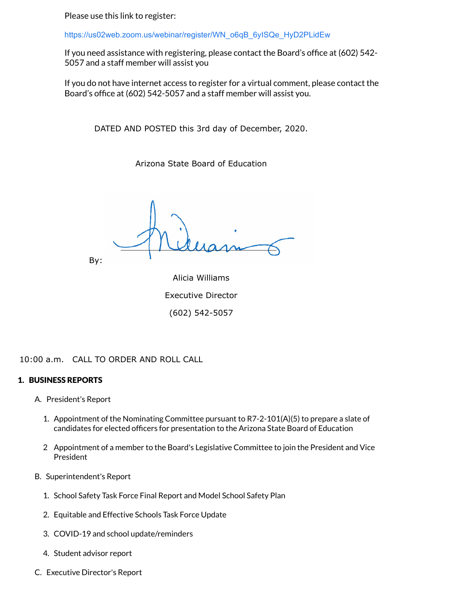Please use this link to register:

https://us02web.zoom.us/webinar/register/WN\_o6qB\_6yISQe\_HyD2PLidEw

If you need assistance with registering, please contact the Board's office at (602) 542-5057 and a staff member will assist you

If you do not have internet access to register for a virtual comment, please contact the Board's office at (602) 542-5057 and a staff member will assist you.

DATED AND POSTED this 3rd day of December, 2020.

Arizona State Board of Education

By: Alicia Williams Executive Director

(602) 542-5057

10:00 a.m. CALL TO ORDER AND ROLL CALL

### 1. BUSINESS REPORTS

- A. President's Report
	- 1. Appointment of the Nominating Committee pursuant to R7-2-101(A)(5) to prepare a slate of candidates for elected officers for presentation to the Arizona State Board of Education
	- 2 Appointment of a member to the Board's Legislative Committee to join the President and Vice President
- B. Superintendent's Report
	- 1. School Safety Task Force Final Report and Model School Safety Plan
	- 2. Equitable and Effective Schools Task Force Update
	- 3. COVID-19 and school update/reminders
	- 4. Student advisor report
- C. Executive Director's Report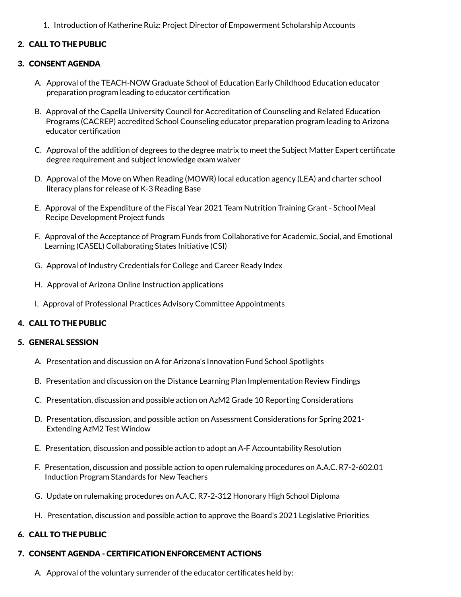1. Introduction of Katherine Ruiz: Project Director of Empowerment Scholarship Accounts

## 2. CALL TO THE PUBLIC

#### 3. CONSENT AGENDA

- A. Approval of the TEACH-NOW Graduate School of Education Early Childhood Education educator preparation program leading to educator certification
- B. Approval of the Capella University Council for Accreditation of Counseling and Related Education Programs (CACREP) accredited School Counseling educator preparation program leading to Arizona educator certification
- C. Approval of the addition of degrees to the degree matrix to meet the Subject Matter Expert certificate degree requirement and subject knowledge exam waiver
- D. Approval of the Move on When Reading (MOWR) local education agency (LEA) and charter school literacy plans for release of K-3 Reading Base
- E. Approval of the Expenditure of the Fiscal Year 2021 Team Nutrition Training Grant School Meal Recipe Development Project funds
- F. Approval of the Acceptance of Program Funds from Collaborative for Academic, Social, and Emotional Learning (CASEL) Collaborating States Initiative (CSI)
- G. Approval of Industry Credentials for College and Career Ready Index
- H. Approval of Arizona Online Instruction applications
- I. Approval of Professional Practices Advisory Committee Appointments

### 4. CALL TO THE PUBLIC

#### 5. GENERAL SESSION

- A. Presentation and discussion on A for Arizona's Innovation Fund School Spotlights
- B. Presentation and discussion on the Distance Learning Plan Implementation Review Findings
- C. Presentation, discussion and possible action on AzM2 Grade 10 Reporting Considerations
- D. Presentation, discussion, and possible action on Assessment Considerations for Spring 2021- Extending AzM2 Test Window
- E. Presentation, discussion and possible action to adopt an A-F Accountability Resolution
- F. Presentation, discussion and possible action to open rulemaking procedures on A.A.C. R7-2-602.01 Induction Program Standards for New Teachers
- G. Update on rulemaking procedures on A.A.C. R7-2-312 Honorary High School Diploma
- H. Presentation, discussion and possible action to approve the Board's 2021 Legislative Priorities

### 6. CALL TO THE PUBLIC

#### 7. CONSENT AGENDA - CERTIFICATION ENFORCEMENT ACTIONS

A. Approval of the voluntary surrender of the educator certificates held by: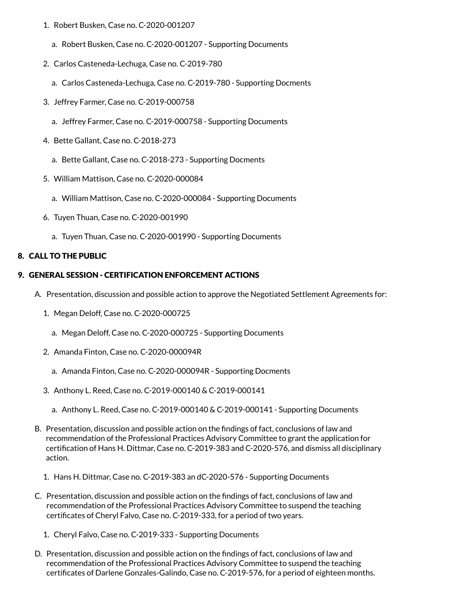- 1. Robert Busken, Case no. C-2020-001207
	- a. Robert Busken, Case no. C-2020-001207 Supporting Documents
- 2. Carlos Casteneda-Lechuga, Case no. C-2019-780
	- a. Carlos Casteneda-Lechuga, Case no. C-2019-780 Supporting Docments
- 3. Jeffrey Farmer, Case no. C-2019-000758
	- a. Jeffrey Farmer, Case no. C-2019-000758 Supporting Documents
- 4. Bette Gallant, Case no. C-2018-273
	- a. Bette Gallant, Case no. C-2018-273 Supporting Docments
- 5. William Mattison, Case no. C-2020-000084
	- a. William Mattison, Case no. C-2020-000084 Supporting Documents
- 6. Tuyen Thuan, Case no. C-2020-001990
	- a. Tuyen Thuan, Case no. C-2020-001990 Supporting Documents

## 8. CALL TO THE PUBLIC

## 9. GENERAL SESSION - CERTIFICATION ENFORCEMENT ACTIONS

- A. Presentation, discussion and possible action to approve the Negotiated Settlement Agreements for:
	- 1. Megan Deloff, Case no. C-2020-000725
		- a. Megan Deloff, Case no. C-2020-000725 Supporting Documents
	- 2. Amanda Finton, Case no. C-2020-000094R
		- a. Amanda Finton, Case no. C-2020-000094R Supporting Docments
	- 3. Anthony L. Reed, Case no. C-2019-000140 & C-2019-000141
		- a. Anthony L. Reed, Case no. C-2019-000140 & C-2019-000141 Supporting Documents
- B. Presentation, discussion and possible action on the findings of fact, conclusions of law and recommendation of the Professional Practices Advisory Committee to grant the application for certification of Hans H. Dittmar, Case no. C-2019-383 and C-2020-576, and dismiss all disciplinary action.
	- 1. Hans H. Dittmar, Case no. C-2019-383 an dC-2020-576 Supporting Documents
- C. Presentation, discussion and possible action on the findings of fact, conclusions of law and recommendation of the Professional Practices Advisory Committee to suspend the teaching certificates of Cheryl Falvo, Case no. C-2019-333, for a period of two years.
	- 1. Cheryl Falvo, Case no. C-2019-333 Supporting Documents
- D. Presentation, discussion and possible action on the findings of fact, conclusions of law and recommendation of the Professional Practices Advisory Committee to suspend the teaching certificates of Darlene Gonzales-Galindo, Case no. C-2019-576, for a period of eighteen months.